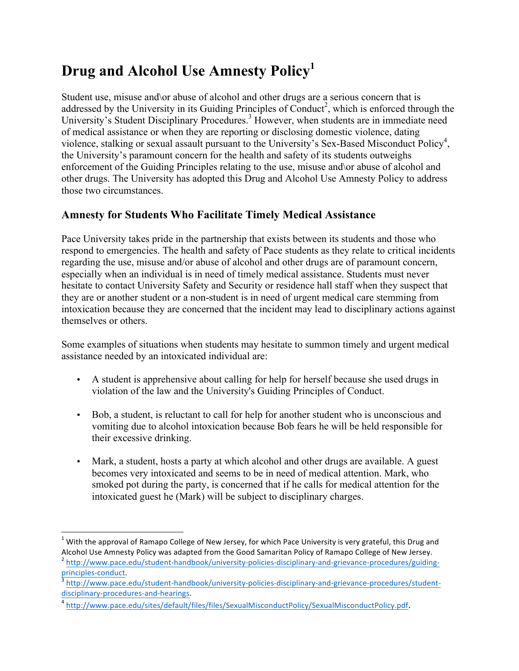## **Drug and Alcohol Use Amnesty Policy<sup>1</sup>**

Student use, misuse and\or abuse of alcohol and other drugs are a serious concern that is addressed by the University in its Guiding Principles of Conduct<sup>2</sup>, which is enforced through the University's Student Disciplinary Procedures.<sup>3</sup> However, when students are in immediate need of medical assistance or when they are reporting or disclosing domestic violence, dating violence, stalking or sexual assault pursuant to the University's Sex-Based Misconduct Policy<sup>4</sup>, the University's paramount concern for the health and safety of its students outweighs enforcement of the Guiding Principles relating to the use, misuse and\or abuse of alcohol and other drugs. The University has adopted this Drug and Alcohol Use Amnesty Policy to address those two circumstances.

## **Amnesty for Students Who Facilitate Timely Medical Assistance**

Pace University takes pride in the partnership that exists between its students and those who respond to emergencies. The health and safety of Pace students as they relate to critical incidents regarding the use, misuse and/or abuse of alcohol and other drugs are of paramount concern, especially when an individual is in need of timely medical assistance. Students must never hesitate to contact University Safety and Security or residence hall staff when they suspect that they are or another student or a non-student is in need of urgent medical care stemming from intoxication because they are concerned that the incident may lead to disciplinary actions against themselves or others.

Some examples of situations when students may hesitate to summon timely and urgent medical assistance needed by an intoxicated individual are:

- A student is apprehensive about calling for help for herself because she used drugs in violation of the law and the University's Guiding Principles of Conduct.
- Bob, a student, is reluctant to call for help for another student who is unconscious and vomiting due to alcohol intoxication because Bob fears he will be held responsible for their excessive drinking.
- Mark, a student, hosts a party at which alcohol and other drugs are available. A guest becomes very intoxicated and seems to be in need of medical attention. Mark, who smoked pot during the party, is concerned that if he calls for medical attention for the intoxicated guest he (Mark) will be subject to disciplinary charges.

 $1$  With the approval of Ramapo College of New Jersey, for which Pace University is very grateful, this Drug and

Alcohol Use Amnesty Policy was adapted from the Good Samaritan Policy of Ramapo College of New Jersey.<br>
<sup>2</sup> http://www.pace.edu/student-handbook/university-policies-disciplinary-and-grievance-procedures/guiding-<br>
principle

http://www.pace.edu/student-handbook/university-policies-disciplinary-and-grievance-procedures/studentdisciplinary-procedures-and-hearings.

<sup>4</sup> http://www.pace.edu/sites/default/files/files/SexualMisconductPolicy/SexualMisconductPolicy.pdf.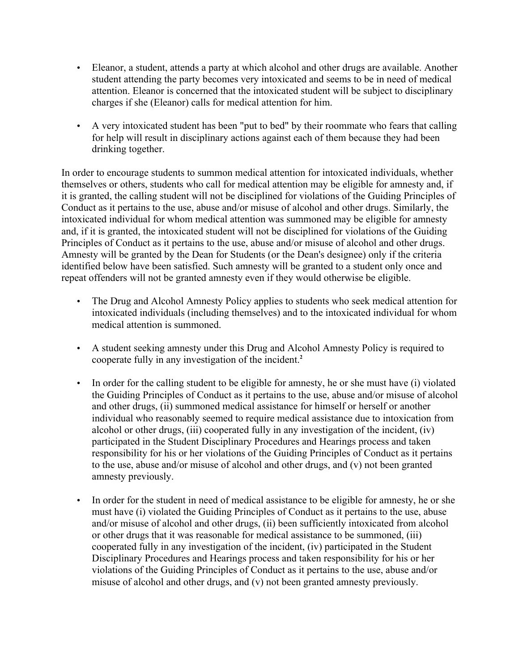- Eleanor, a student, attends a party at which alcohol and other drugs are available. Another student attending the party becomes very intoxicated and seems to be in need of medical attention. Eleanor is concerned that the intoxicated student will be subject to disciplinary charges if she (Eleanor) calls for medical attention for him.
- A very intoxicated student has been "put to bed" by their roommate who fears that calling for help will result in disciplinary actions against each of them because they had been drinking together.

In order to encourage students to summon medical attention for intoxicated individuals, whether themselves or others, students who call for medical attention may be eligible for amnesty and, if it is granted, the calling student will not be disciplined for violations of the Guiding Principles of Conduct as it pertains to the use, abuse and/or misuse of alcohol and other drugs. Similarly, the intoxicated individual for whom medical attention was summoned may be eligible for amnesty and, if it is granted, the intoxicated student will not be disciplined for violations of the Guiding Principles of Conduct as it pertains to the use, abuse and/or misuse of alcohol and other drugs. Amnesty will be granted by the Dean for Students (or the Dean's designee) only if the criteria identified below have been satisfied. Such amnesty will be granted to a student only once and repeat offenders will not be granted amnesty even if they would otherwise be eligible.

- The Drug and Alcohol Amnesty Policy applies to students who seek medical attention for intoxicated individuals (including themselves) and to the intoxicated individual for whom medical attention is summoned.
- A student seeking amnesty under this Drug and Alcohol Amnesty Policy is required to cooperate fully in any investigation of the incident.**<sup>2</sup>**
- In order for the calling student to be eligible for amnesty, he or she must have (i) violated the Guiding Principles of Conduct as it pertains to the use, abuse and/or misuse of alcohol and other drugs, (ii) summoned medical assistance for himself or herself or another individual who reasonably seemed to require medical assistance due to intoxication from alcohol or other drugs, (iii) cooperated fully in any investigation of the incident, (iv) participated in the Student Disciplinary Procedures and Hearings process and taken responsibility for his or her violations of the Guiding Principles of Conduct as it pertains to the use, abuse and/or misuse of alcohol and other drugs, and (v) not been granted amnesty previously.
- In order for the student in need of medical assistance to be eligible for amnesty, he or she must have (i) violated the Guiding Principles of Conduct as it pertains to the use, abuse and/or misuse of alcohol and other drugs, (ii) been sufficiently intoxicated from alcohol or other drugs that it was reasonable for medical assistance to be summoned, (iii) cooperated fully in any investigation of the incident, (iv) participated in the Student Disciplinary Procedures and Hearings process and taken responsibility for his or her violations of the Guiding Principles of Conduct as it pertains to the use, abuse and/or misuse of alcohol and other drugs, and (v) not been granted amnesty previously.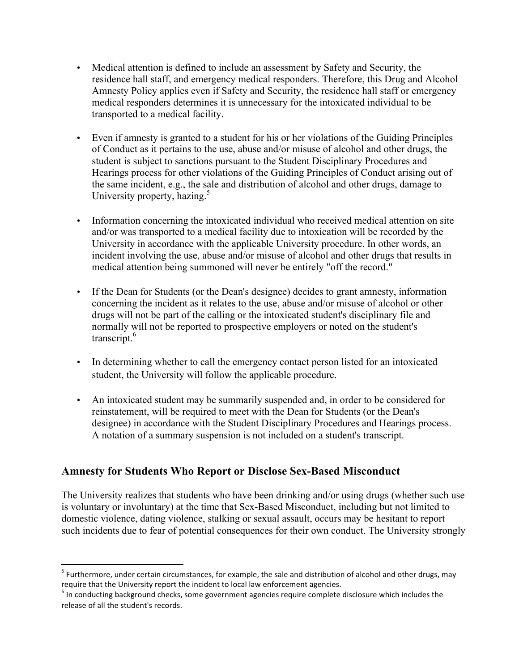- Medical attention is defined to include an assessment by Safety and Security, the residence hall staff, and emergency medical responders. Therefore, this Drug and Alcohol Amnesty Policy applies even if Safety and Security, the residence hall staff or emergency medical responders determines it is unnecessary for the intoxicated individual to be transported to a medical facility.
- Even if amnesty is granted to a student for his or her violations of the Guiding Principles of Conduct as it pertains to the use, abuse and/or misuse of alcohol and other drugs, the student is subject to sanctions pursuant to the Student Disciplinary Procedures and Hearings process for other violations of the Guiding Principles of Conduct arising out of the same incident, e.g., the sale and distribution of alcohol and other drugs, damage to University property, hazing. $5$
- Information concerning the intoxicated individual who received medical attention on site and/or was transported to a medical facility due to intoxication will be recorded by the University in accordance with the applicable University procedure. In other words, an incident involving the use, abuse and/or misuse of alcohol and other drugs that results in medical attention being summoned will never be entirely "off the record."
- If the Dean for Students (or the Dean's designee) decides to grant amnesty, information concerning the incident as it relates to the use, abuse and/or misuse of alcohol or other drugs will not be part of the calling or the intoxicated student's disciplinary file and normally will not be reported to prospective employers or noted on the student's transcript.<sup>6</sup>
- In determining whether to call the emergency contact person listed for an intoxicated student, the University will follow the applicable procedure.
- An intoxicated student may be summarily suspended and, in order to be considered for reinstatement, will be required to meet with the Dean for Students (or the Dean's designee) in accordance with the Student Disciplinary Procedures and Hearings process. A notation of a summary suspension is not included on a student's transcript.

## **Amnesty for Students Who Report or Disclose Sex-Based Misconduct**

The University realizes that students who have been drinking and/or using drugs (whether such use is voluntary or involuntary) at the time that Sex-Based Misconduct, including but not limited to domestic violence, dating violence, stalking or sexual assault, occurs may be hesitant to report such incidents due to fear of potential consequences for their own conduct. The University strongly

 $5$  Furthermore, under certain circumstances, for example, the sale and distribution of alcohol and other drugs, may require that the University report the incident to local law enforcement agencies.

 $6$  In conducting background checks, some government agencies require complete disclosure which includes the release of all the student's records.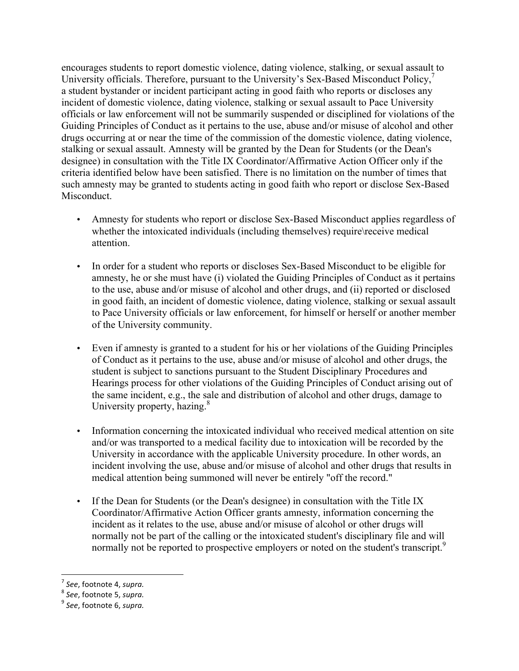encourages students to report domestic violence, dating violence, stalking, or sexual assault to University officials. Therefore, pursuant to the University's Sex-Based Misconduct Policy,<sup>7</sup> a student bystander or incident participant acting in good faith who reports or discloses any incident of domestic violence, dating violence, stalking or sexual assault to Pace University officials or law enforcement will not be summarily suspended or disciplined for violations of the Guiding Principles of Conduct as it pertains to the use, abuse and/or misuse of alcohol and other drugs occurring at or near the time of the commission of the domestic violence, dating violence, stalking or sexual assault. Amnesty will be granted by the Dean for Students (or the Dean's designee) in consultation with the Title IX Coordinator/Affirmative Action Officer only if the criteria identified below have been satisfied. There is no limitation on the number of times that such amnesty may be granted to students acting in good faith who report or disclose Sex-Based Misconduct.

- Amnesty for students who report or disclose Sex-Based Misconduct applies regardless of whether the intoxicated individuals (including themselves) require\receive medical attention.
- In order for a student who reports or discloses Sex-Based Misconduct to be eligible for amnesty, he or she must have (i) violated the Guiding Principles of Conduct as it pertains to the use, abuse and/or misuse of alcohol and other drugs, and (ii) reported or disclosed in good faith, an incident of domestic violence, dating violence, stalking or sexual assault to Pace University officials or law enforcement, for himself or herself or another member of the University community.
- Even if amnesty is granted to a student for his or her violations of the Guiding Principles of Conduct as it pertains to the use, abuse and/or misuse of alcohol and other drugs, the student is subject to sanctions pursuant to the Student Disciplinary Procedures and Hearings process for other violations of the Guiding Principles of Conduct arising out of the same incident, e.g., the sale and distribution of alcohol and other drugs, damage to University property, hazing.<sup>8</sup>
- Information concerning the intoxicated individual who received medical attention on site and/or was transported to a medical facility due to intoxication will be recorded by the University in accordance with the applicable University procedure. In other words, an incident involving the use, abuse and/or misuse of alcohol and other drugs that results in medical attention being summoned will never be entirely "off the record."
- If the Dean for Students (or the Dean's designee) in consultation with the Title IX Coordinator/Affirmative Action Officer grants amnesty, information concerning the incident as it relates to the use, abuse and/or misuse of alcohol or other drugs will normally not be part of the calling or the intoxicated student's disciplinary file and will normally not be reported to prospective employers or noted on the student's transcript.<sup>9</sup>

<u> 1989 - Jan Samuel Barbara, margaret e</u>

<sup>&</sup>lt;sup>7</sup> See, footnote 4, *supra.*<br><sup>8</sup> See, footnote 5, *supra.*<br><sup>9</sup> See, footnote 6, *supra.*